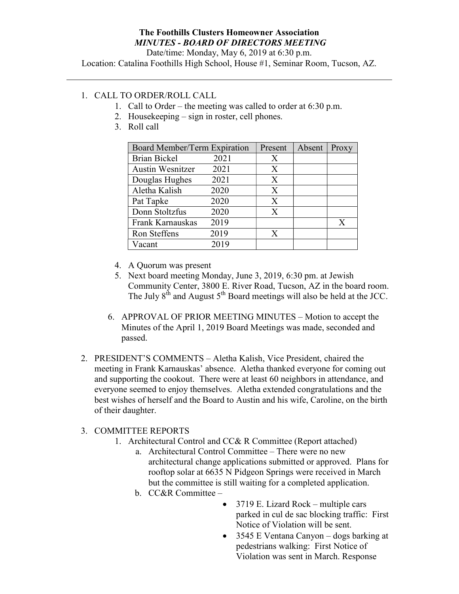## The Foothills Clusters Homeowner Association MINUTES - BOARD OF DIRECTORS MEETING

Date/time: Monday, May 6, 2019 at 6:30 p.m.

Location: Catalina Foothills High School, House #1, Seminar Room, Tucson, AZ.

## 1. CALL TO ORDER/ROLL CALL

- 1. Call to Order the meeting was called to order at 6:30 p.m.
- 2. Housekeeping sign in roster, cell phones.
- 3. Roll call

| Board Member/Term Expiration |      | Present | Absent | Proxy |
|------------------------------|------|---------|--------|-------|
| <b>Brian Bickel</b>          | 2021 | X       |        |       |
| <b>Austin Wesnitzer</b>      | 2021 | X       |        |       |
| Douglas Hughes               | 2021 | X       |        |       |
| Aletha Kalish                | 2020 | X       |        |       |
| Pat Tapke                    | 2020 | X       |        |       |
| Donn Stoltzfus               | 2020 | X       |        |       |
| Frank Karnauskas             | 2019 |         |        | X     |
| Ron Steffens                 | 2019 | X       |        |       |
| Vacant                       | 2019 |         |        |       |

- 4. A Quorum was present
- 5. Next board meeting Monday, June 3, 2019, 6:30 pm. at Jewish Community Center, 3800 E. River Road, Tucson, AZ in the board room. The July 8<sup>th</sup> and August 5<sup>th</sup> Board meetings will also be held at the JCC.
- 6. APPROVAL OF PRIOR MEETING MINUTES Motion to accept the Minutes of the April 1, 2019 Board Meetings was made, seconded and passed.
- 2. PRESIDENT'S COMMENTS Aletha Kalish, Vice President, chaired the meeting in Frank Karnauskas' absence. Aletha thanked everyone for coming out and supporting the cookout. There were at least 60 neighbors in attendance, and everyone seemed to enjoy themselves. Aletha extended congratulations and the best wishes of herself and the Board to Austin and his wife, Caroline, on the birth of their daughter.

## 3. COMMITTEE REPORTS

- 1. Architectural Control and CC& R Committee (Report attached)
	- a. Architectural Control Committee There were no new architectural change applications submitted or approved. Plans for rooftop solar at 6635 N Pidgeon Springs were received in March but the committee is still waiting for a completed application.
	- b. CC&R Committee
		- 3719 E. Lizard Rock multiple cars parked in cul de sac blocking traffic: First Notice of Violation will be sent.
		- 3545 E Ventana Canyon dogs barking at pedestrians walking: First Notice of Violation was sent in March. Response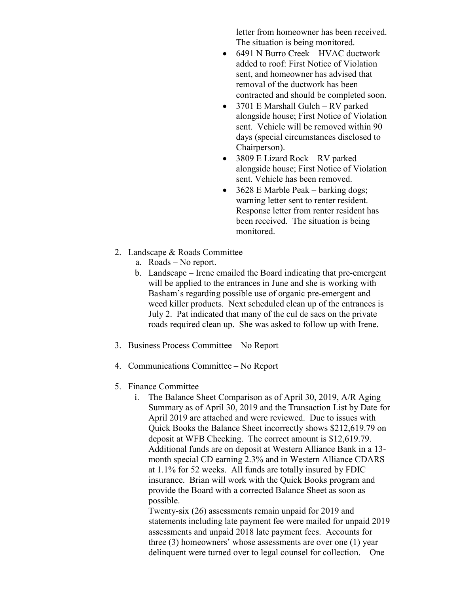letter from homeowner has been received. The situation is being monitored.

- 6491 N Burro Creek HVAC ductwork added to roof: First Notice of Violation sent, and homeowner has advised that removal of the ductwork has been contracted and should be completed soon.
- 3701 E Marshall Gulch RV parked alongside house; First Notice of Violation sent. Vehicle will be removed within 90 days (special circumstances disclosed to Chairperson).
- 3809 E Lizard Rock RV parked alongside house; First Notice of Violation sent. Vehicle has been removed.
- 3628 E Marble Peak barking dogs; warning letter sent to renter resident. Response letter from renter resident has been received. The situation is being monitored.
- 2. Landscape & Roads Committee
	- a. Roads No report.
	- b. Landscape Irene emailed the Board indicating that pre-emergent will be applied to the entrances in June and she is working with Basham's regarding possible use of organic pre-emergent and weed killer products. Next scheduled clean up of the entrances is July 2. Pat indicated that many of the cul de sacs on the private roads required clean up. She was asked to follow up with Irene.
- 3. Business Process Committee No Report
- 4. Communications Committee No Report
- 5. Finance Committee
	- i. The Balance Sheet Comparison as of April 30, 2019, A/R Aging Summary as of April 30, 2019 and the Transaction List by Date for April 2019 are attached and were reviewed. Due to issues with Quick Books the Balance Sheet incorrectly shows \$212,619.79 on deposit at WFB Checking. The correct amount is \$12,619.79. Additional funds are on deposit at Western Alliance Bank in a 13 month special CD earning 2.3% and in Western Alliance CDARS at 1.1% for 52 weeks. All funds are totally insured by FDIC insurance. Brian will work with the Quick Books program and provide the Board with a corrected Balance Sheet as soon as possible.

Twenty-six (26) assessments remain unpaid for 2019 and statements including late payment fee were mailed for unpaid 2019 assessments and unpaid 2018 late payment fees. Accounts for three (3) homeowners' whose assessments are over one (1) year delinquent were turned over to legal counsel for collection. One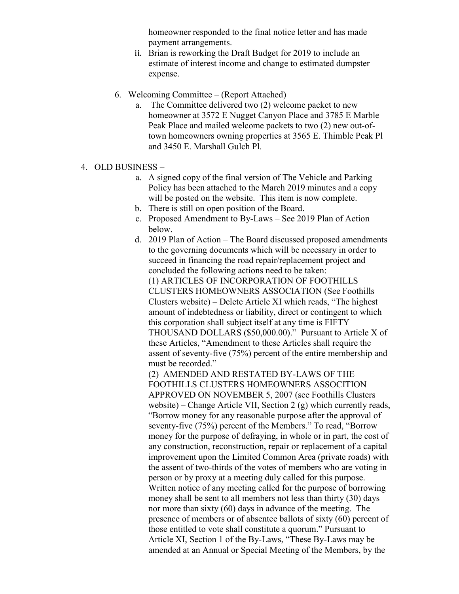homeowner responded to the final notice letter and has made payment arrangements.

- ii. Brian is reworking the Draft Budget for 2019 to include an estimate of interest income and change to estimated dumpster expense.
- 6. Welcoming Committee (Report Attached)
	- a. The Committee delivered two (2) welcome packet to new homeowner at 3572 E Nugget Canyon Place and 3785 E Marble Peak Place and mailed welcome packets to two (2) new out-oftown homeowners owning properties at 3565 E. Thimble Peak Pl and 3450 E. Marshall Gulch Pl.
- 4. OLD BUSINESS
	- a. A signed copy of the final version of The Vehicle and Parking Policy has been attached to the March 2019 minutes and a copy will be posted on the website. This item is now complete.
	- b. There is still on open position of the Board.
	- c. Proposed Amendment to By-Laws See 2019 Plan of Action below.
	- d. 2019 Plan of Action The Board discussed proposed amendments to the governing documents which will be necessary in order to succeed in financing the road repair/replacement project and concluded the following actions need to be taken: (1) ARTICLES OF INCORPORATION OF FOOTHILLS CLUSTERS HOMEOWNERS ASSOCIATION (See Foothills Clusters website) – Delete Article XI which reads, "The highest amount of indebtedness or liability, direct or contingent to which this corporation shall subject itself at any time is FIFTY THOUSAND DOLLARS (\$50,000.00)." Pursuant to Article X of these Articles, "Amendment to these Articles shall require the assent of seventy-five (75%) percent of the entire membership and must be recorded." (2) AMENDED AND RESTATED BY-LAWS OF THE FOOTHILLS CLUSTERS HOMEOWNERS ASSOCITION APPROVED ON NOVEMBER 5, 2007 (see Foothills Clusters website) – Change Article VII, Section 2 (g) which currently reads, "Borrow money for any reasonable purpose after the approval of seventy-five (75%) percent of the Members." To read, "Borrow money for the purpose of defraying, in whole or in part, the cost of any construction, reconstruction, repair or replacement of a capital improvement upon the Limited Common Area (private roads) with the assent of two-thirds of the votes of members who are voting in person or by proxy at a meeting duly called for this purpose. Written notice of any meeting called for the purpose of borrowing money shall be sent to all members not less than thirty (30) days
		- nor more than sixty (60) days in advance of the meeting. The presence of members or of absentee ballots of sixty (60) percent of those entitled to vote shall constitute a quorum." Pursuant to Article XI, Section 1 of the By-Laws, "These By-Laws may be amended at an Annual or Special Meeting of the Members, by the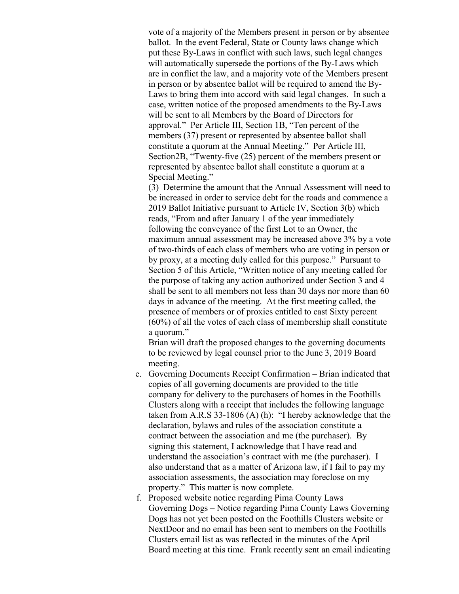vote of a majority of the Members present in person or by absentee ballot. In the event Federal, State or County laws change which put these By-Laws in conflict with such laws, such legal changes will automatically supersede the portions of the By-Laws which are in conflict the law, and a majority vote of the Members present in person or by absentee ballot will be required to amend the By-Laws to bring them into accord with said legal changes. In such a case, written notice of the proposed amendments to the By-Laws will be sent to all Members by the Board of Directors for approval." Per Article III, Section 1B, "Ten percent of the members (37) present or represented by absentee ballot shall constitute a quorum at the Annual Meeting." Per Article III, Section2B, "Twenty-five (25) percent of the members present or represented by absentee ballot shall constitute a quorum at a Special Meeting."

(3) Determine the amount that the Annual Assessment will need to be increased in order to service debt for the roads and commence a 2019 Ballot Initiative pursuant to Article IV, Section 3(b) which reads, "From and after January 1 of the year immediately following the conveyance of the first Lot to an Owner, the maximum annual assessment may be increased above 3% by a vote of two-thirds of each class of members who are voting in person or by proxy, at a meeting duly called for this purpose." Pursuant to Section 5 of this Article, "Written notice of any meeting called for the purpose of taking any action authorized under Section 3 and 4 shall be sent to all members not less than 30 days nor more than 60 days in advance of the meeting. At the first meeting called, the presence of members or of proxies entitled to cast Sixty percent (60%) of all the votes of each class of membership shall constitute a quorum."

Brian will draft the proposed changes to the governing documents to be reviewed by legal counsel prior to the June 3, 2019 Board meeting.

- e. Governing Documents Receipt Confirmation Brian indicated that copies of all governing documents are provided to the title company for delivery to the purchasers of homes in the Foothills Clusters along with a receipt that includes the following language taken from A.R.S 33-1806 (A) (h): "I hereby acknowledge that the declaration, bylaws and rules of the association constitute a contract between the association and me (the purchaser). By signing this statement, I acknowledge that I have read and understand the association's contract with me (the purchaser). I also understand that as a matter of Arizona law, if I fail to pay my association assessments, the association may foreclose on my property." This matter is now complete.
- f. Proposed website notice regarding Pima County Laws Governing Dogs – Notice regarding Pima County Laws Governing Dogs has not yet been posted on the Foothills Clusters website or NextDoor and no email has been sent to members on the Foothills Clusters email list as was reflected in the minutes of the April Board meeting at this time. Frank recently sent an email indicating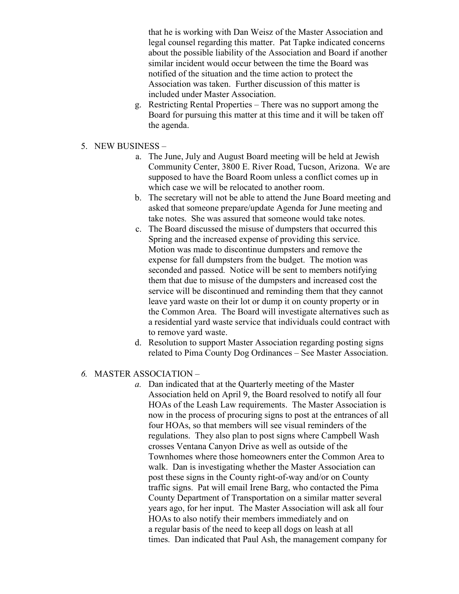that he is working with Dan Weisz of the Master Association and legal counsel regarding this matter. Pat Tapke indicated concerns about the possible liability of the Association and Board if another similar incident would occur between the time the Board was notified of the situation and the time action to protect the Association was taken. Further discussion of this matter is included under Master Association.

- g. Restricting Rental Properties There was no support among the Board for pursuing this matter at this time and it will be taken off the agenda.
- 5. NEW BUSINESS
	- a. The June, July and August Board meeting will be held at Jewish Community Center, 3800 E. River Road, Tucson, Arizona. We are supposed to have the Board Room unless a conflict comes up in which case we will be relocated to another room.
	- b. The secretary will not be able to attend the June Board meeting and asked that someone prepare/update Agenda for June meeting and take notes. She was assured that someone would take notes.
	- c. The Board discussed the misuse of dumpsters that occurred this Spring and the increased expense of providing this service. Motion was made to discontinue dumpsters and remove the expense for fall dumpsters from the budget. The motion was seconded and passed. Notice will be sent to members notifying them that due to misuse of the dumpsters and increased cost the service will be discontinued and reminding them that they cannot leave yard waste on their lot or dump it on county property or in the Common Area. The Board will investigate alternatives such as a residential yard waste service that individuals could contract with to remove yard waste.
	- d. Resolution to support Master Association regarding posting signs related to Pima County Dog Ordinances – See Master Association.
- 6. MASTER ASSOCIATION
	- a. Dan indicated that at the Quarterly meeting of the Master Association held on April 9, the Board resolved to notify all four HOAs of the Leash Law requirements. The Master Association is now in the process of procuring signs to post at the entrances of all four HOAs, so that members will see visual reminders of the regulations. They also plan to post signs where Campbell Wash crosses Ventana Canyon Drive as well as outside of the Townhomes where those homeowners enter the Common Area to walk. Dan is investigating whether the Master Association can post these signs in the County right-of-way and/or on County traffic signs. Pat will email Irene Barg, who contacted the Pima County Department of Transportation on a similar matter several years ago, for her input. The Master Association will ask all four HOAs to also notify their members immediately and on a regular basis of the need to keep all dogs on leash at all times. Dan indicated that Paul Ash, the management company for